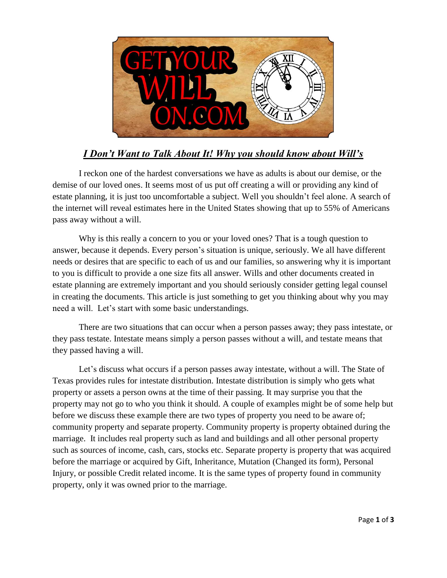

## *I Don't Want to Talk About It! Why you should know about Will's*

I reckon one of the hardest conversations we have as adults is about our demise, or the demise of our loved ones. It seems most of us put off creating a will or providing any kind of estate planning, it is just too uncomfortable a subject. Well you shouldn't feel alone. A search of the internet will reveal estimates here in the United States showing that up to 55% of Americans pass away without a will.

Why is this really a concern to you or your loved ones? That is a tough question to answer, because it depends. Every person's situation is unique, seriously. We all have different needs or desires that are specific to each of us and our families, so answering why it is important to you is difficult to provide a one size fits all answer. Wills and other documents created in estate planning are extremely important and you should seriously consider getting legal counsel in creating the documents. This article is just something to get you thinking about why you may need a will. Let's start with some basic understandings.

There are two situations that can occur when a person passes away; they pass intestate, or they pass testate. Intestate means simply a person passes without a will, and testate means that they passed having a will.

Let's discuss what occurs if a person passes away intestate, without a will. The State of Texas provides rules for intestate distribution. Intestate distribution is simply who gets what property or assets a person owns at the time of their passing. It may surprise you that the property may not go to who you think it should. A couple of examples might be of some help but before we discuss these example there are two types of property you need to be aware of; community property and separate property. Community property is property obtained during the marriage. It includes real property such as land and buildings and all other personal property such as sources of income, cash, cars, stocks etc. Separate property is property that was acquired before the marriage or acquired by Gift, Inheritance, Mutation (Changed its form), Personal Injury, or possible Credit related income. It is the same types of property found in community property, only it was owned prior to the marriage.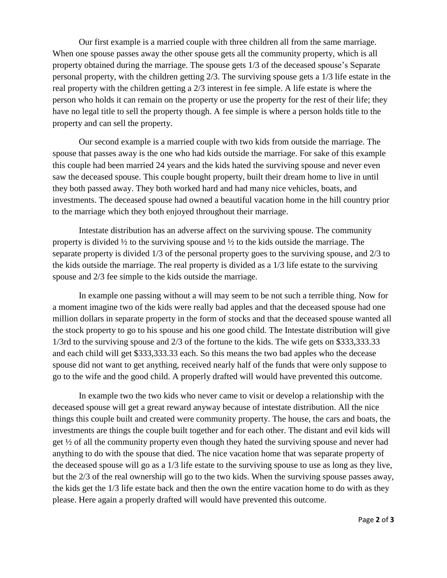Our first example is a married couple with three children all from the same marriage. When one spouse passes away the other spouse gets all the community property, which is all property obtained during the marriage. The spouse gets 1/3 of the deceased spouse's Separate personal property, with the children getting 2/3. The surviving spouse gets a 1/3 life estate in the real property with the children getting a 2/3 interest in fee simple. A life estate is where the person who holds it can remain on the property or use the property for the rest of their life; they have no legal title to sell the property though. A fee simple is where a person holds title to the property and can sell the property.

Our second example is a married couple with two kids from outside the marriage. The spouse that passes away is the one who had kids outside the marriage. For sake of this example this couple had been married 24 years and the kids hated the surviving spouse and never even saw the deceased spouse. This couple bought property, built their dream home to live in until they both passed away. They both worked hard and had many nice vehicles, boats, and investments. The deceased spouse had owned a beautiful vacation home in the hill country prior to the marriage which they both enjoyed throughout their marriage.

Intestate distribution has an adverse affect on the surviving spouse. The community property is divided ½ to the surviving spouse and ½ to the kids outside the marriage. The separate property is divided 1/3 of the personal property goes to the surviving spouse, and 2/3 to the kids outside the marriage. The real property is divided as a 1/3 life estate to the surviving spouse and 2/3 fee simple to the kids outside the marriage.

In example one passing without a will may seem to be not such a terrible thing. Now for a moment imagine two of the kids were really bad apples and that the deceased spouse had one million dollars in separate property in the form of stocks and that the deceased spouse wanted all the stock property to go to his spouse and his one good child. The Intestate distribution will give 1/3rd to the surviving spouse and 2/3 of the fortune to the kids. The wife gets on \$333,333.33 and each child will get \$333,333.33 each. So this means the two bad apples who the decease spouse did not want to get anything, received nearly half of the funds that were only suppose to go to the wife and the good child. A properly drafted will would have prevented this outcome.

In example two the two kids who never came to visit or develop a relationship with the deceased spouse will get a great reward anyway because of intestate distribution. All the nice things this couple built and created were community property. The house, the cars and boats, the investments are things the couple built together and for each other. The distant and evil kids will get ½ of all the community property even though they hated the surviving spouse and never had anything to do with the spouse that died. The nice vacation home that was separate property of the deceased spouse will go as a 1/3 life estate to the surviving spouse to use as long as they live, but the 2/3 of the real ownership will go to the two kids. When the surviving spouse passes away, the kids get the 1/3 life estate back and then the own the entire vacation home to do with as they please. Here again a properly drafted will would have prevented this outcome.